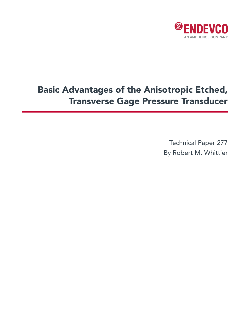

# Basic Advantages of the Anisotropic Etched, Transverse Gage Pressure Transducer

Technical Paper 277 By Robert M. Whittier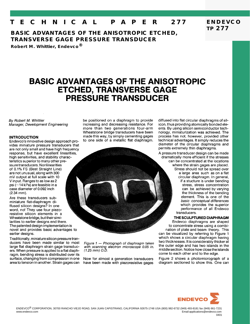#### E C H N I C A L  $\mathsf T$ PAPER 277

**BASIC ADVANTAGES OF THE ANISOTROPIC ETCHED, TRANSVERSE GAGE PRESSURE TRANSDUCER** 

Robert M. Whittier, Endevco<sup>®</sup>

## **BASIC ADVANTAGES OF THE ANISOTROPIC ETCHED, TRANSVERSE GAGE PRESSURE TRANSDUCER**

#### By Robert M. Whittier Manager, Development Engineering

#### **INTRODUCTION**

Endevco's innovative design approach provides miniature pressure transducers that are not only small and have high frequency response, but have excellent linearities, high sensitivities, and stability characteristics superior to many other pressure transducers. Nonlinearities of 0.1% FS (Best Straight Line) are not unusual, along with 300 mV output at full scale with 10 V input. Ranges to as low as 2 psi (~14 kPa) are feasible in a case diameter of 0.092 inch  $(2.34$  mm).

Are these transducers subminiature flat-diaphragm diffused silicon designs? In one word, no! They use four piezoresistive silicon elements in a Wheatstone bridge, but their similarities to earlier designs end there. The patented design implementation is novel and provides basic advantages to earlier designs.

Traditionally, miniature silicon pressure tranducers have been made similar to most large flat diaphragm strain gage transducers. When pressure is applied to a flat diaphragm, bending stress is distributed over its surface, changing from compression in one area to tension in another. Strain gages can

be positioned on a diaphragm to provide increasing and decreasing resistance. For more than two generations four-arm Wheatstone bridge transducers have been made this way, by simply cementing gages to one side of a metallic flat diaphragm.

Figure 1 - Photograph of diaphragm taken with scanning electron microscope 0.05 in.  $(1.25 \, mm)$  O.D.

Now for almost a generation transducers have been made with piezoresistive gages diffused into flat circular diaphragms of silicon, thus providing atomically bonded eleents. By using silicon semiconductor technology, miniaturization was achieved. The process has not, however, provided other technical advantages. It simply reduces the diameter of the circular diaphragms and permits extremely thin diaphragms.

**ENDEVCO** 

**TP 277** 

A pressure transducer design can be made dramatically more efficient if the stresses can be concentrated at the locations where the strain gages are placed. Stress should not be spread over a large area such as on a flat circular diaphragm. In general, if a stucture is under bending stress, stress concentration can be achieved by varying the thickness of the bending element. This is one of the basic conceptual differences which provides the superior performance of all Endevco transducers.

THE SCULPTURED DIAPHRAGM Endevco diaphragms are shaped to concentrate stress using a combination of plate and beam theory. This can be visualized by referring to Figure 1 which shows a circular diaphragm having two thicknesses. It is considerably thicker at the outer edge and has two islands in the middle section. Notice how close the islands come to each other and to the edge.

Figure 2 shows a photomicrograph of a diagram sectioned to show this. One can

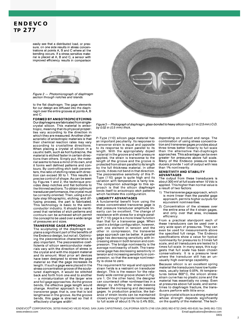**ENDEVCO** TP 277

> easily see that a distributed load, or pressure, on one side results in stress concentrations at points A, B and C where all the bending occurs. If a stress sensitive material is placed at A, B and C, a sensor with improved efficiency results in comparison



Figure 2 - Photomicrograph of diaphragm section through notches and islands.

to the flat diaphragm. The gage elements for our design are diffused into the diaphragm over the entire grooves at points A, B and C.

#### **FORMED BY ANISOTROPIC ETCHING**

Our diaphragms are fabricated from singlecrystal silicon. This material is anisotropic, meaning that its physical properties vary according to the direction in which they are measured. Another characteristic of anisotropic materials is that their chemical reaction rates may vary according to crystalline directions. When placing a crystal of silicon in a caustic bath, such as hot hydrazine, the material is etched faster in certain directions than others. Simply put, the material seems to have a mind of its own, and it forms well defined patterns and contours. By controlling etch bath parameters, the ratio of etching rates with direction can exceed 30 to 1. This results in precise control of shape. As can be seen by Figures 1 and 2, the technique provides deep notches and flat bottoms to the thinned sections. To obtain optimum transducer performance, the crystal must be correctly oriented. Then, using a multiple step lithographic, etching, and diffusing process, the part is fabricated. This technology is basic to the semiconductor industry. It should be mentioned that varieties of etch petterns and contours can be achieved which permit the concept to be used over a wide range of pressures and sizes.

#### **TRANSVERSE GAGE APPROACH**

The sculpturing of the diaphragm explains a significant part of the benefits of the Endevco design, but not all. Optimizing the piezoresistive characteristics is also important. The piezoresistive coefficients of silicon semiconductor materials vary with the direction of stress in the crystal and with the dopant material and its amount. Most prior art devices have been designed to stress the gage material so that the gage increases its length. If such a gage were placed in the stress concentration groove of the sculptured diaphragm, it would be stitched back and forth from one end to another a miniaturization of the larger wire and foil gage approaches. As the groove bends, the effective gage length would change. Another approach is to use a transverse gage; that is, one that is laid lengthwise in the groove. As the groove bends, this gage is strained so that it effectively changes width'.



Figure 3 - Photograph of diaphragm, glass-bonded to heavy silicon ring, 0.1 in (2.5 mm) O.D. by 0.02 in (0.5 mm) thick.

P-Type (110) silicon gage material has an important peculiarity. Its response to transverse strain is equal and opposite to its response to strain parallel to its length. With the appropriately doped material in the groove and with pressure applied, the strain is transverse to the length of the groove and the groove is protected from strain parallel to its length by the full thickness material. In other words, it does not bend in that direction. The piezoresistive sensitivity of this P-Type (110) gage is quite high and its variation with temperature is fairly low. The companion advantage to this approach is that the silicon diaphragm lends itself to anisotropic etch patterns which facilitate this configuration.

#### **LINEARITY ADVANTAGES**

A fundamental benefit from using the stress concentrated transverse gage is that pressure transducer amplitude linearity can be excellent. The change of resistance with stress for a single parallel P (110) gage is a more linear function than that for a transverse gage. When used in a bridge configuration, however, with one element in tension and the other in compression, the transverse gage approach can be better. A parallel gage has decreasing sensitivity with increasing stress in both tension and compression. The bridge nonlinearity is the average nonlinearity of both. The transverse gage has decreasing sensitivity in tension and increasing sensitivity in compression, so that the average nonlinearity is close to zero.

The requirement for equal and opposite strain fields is a restraint on transducer design. This is the reason for the relatively wide central groove shown in Figure 1. On the other hand, the designer can counteract other nonlinearities in a design by shifting the strain balance between the increasing and decreasing gages. In production practice, the balance of strain levels can be maintained closely enough to provide nonlinearities to full scale of about 0.1% to 0.4% BSL, depending on product and range. The combination of using stress concentration and transverse gages provides about three times better linearity to full scale than the alternative flat-diaphragm approaches. This advantage can be even greater for pressures above full scale. Many of the Endevco pressure transducers provide 1 volt of output with less than 1% nonlinearity.

#### SENSITIVITY AND STABILITY **ADVANTAGES**

The output from these transducers is about 300 mV at full scale when 10 Vdc is applied. This higher than normal value is a result of two factors:

- 1) The transverse gage approach, which is more linear than the parallel gage approach, permits higher outputs for equivalent nonlinearities.
- 2) Concentration of the stresses over the entire area of the 4 strain gages, and only over that area, increases efficiency.

From a practical standpoint each of these transducers can be used over a very wide span of pressures. They can even be used for measurements above the specified full range. The Endevco specifications show a value for typical nonlinearity for pressures to 3 times full scale, and all transducers are tested to 3 times full scale. In many ways, this suggests that full scale has been chosen conservatively. It is a pressure level where the transducer still has an unusually high overrange capability.

Because silicon is an excellent spring material the transducers have low hysteresis, usually below 0.05%. At temperatures below 600°C, the silicon stressstrain curve has no plastic zone and the material has essentially no creep. Even at pressures above full scale, and sometimes to diaphragm fracture, the transducers perform with little error.

Single crystal silicon is a strong material whose strength depends significantly<br>on the quality of the material. The tech-

ENDEVCO<sup>®</sup> CORPORATION, 30700 RANCHO VIEJO ROAD, SAN JUAN CAPISTRANO, CALIFORNIA 92675-1748 USA (800) 982-6732 (949) 493-8181 fax (949) 661-7231 Email:applications@endevco.com www.endevco.com  $0401$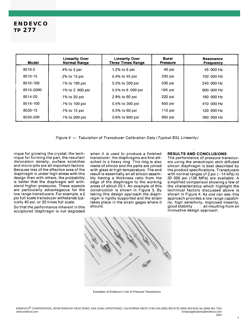### **ENDEVCO TP 277**

| Model     | <b>Linearity Over</b><br><b>Normal Range</b> | <b>Linearity Over</b><br><b>Three Times Range</b> | Burst<br><b>Pressure</b> | <b>Resonance</b><br><b>Frequency</b> |
|-----------|----------------------------------------------|---------------------------------------------------|--------------------------|--------------------------------------|
| 8510-2    | .4% to 2 psi                                 | $1.2\%$ to 6 psi                                  | 40 psi                   | 45 000 Hz                            |
| 8510-15   | .2% to 15 psi                                | $0.4\%$ to 45 psi                                 | 200 psi                  | 100 000 Hz                           |
| 8510-100  | .1% to 100 psi                               | 0.3% to 300 psi                                   | 500 psi                  | 240 000 Hz                           |
| 8510-2000 | .1% to 2 000 psi                             | 0.5% to 6 000 psi                                 | 10K psi                  | 900 000 Hz                           |
| 8514-20   | .1% to 20 psi                                | 2.9% to 60 psi                                    | 220 psi                  | 180 000 Hz                           |
| 8514-100  | .1% to 100 psi                               | 0.5% to 300 psi                                   | 650 psi                  | 410 000 Hz                           |
| 8530-15   | .1% to 15 psi                                | $0.5\%$ to 60 psi                                 | $110$ psi                | 120 000 Hz                           |
| 8530-200  | .1% to 200 psi                               | 0.6% to 600 psi                                   | 950 psi                  | 360 000 Hz                           |

Figure 4 - Tabulation of Transducer Calibration Data (Typical BSL Linearity)

nique for growing the crystal, the technique for forming the part, the resultant dislocation density, surface scratches and micro-pits are all important factors. Because less of the effective area of the diaphragm is under high stress with this design than with others, the probability is better that the diaphragm will withstand higher pressures. These aspects are particularly advantageous for the low range transducers. For example, a 2 psi full scale transducer withstands typically 40 psi, or 20 times full scale.

So that the performance inherent in this sculptured diaphragm is not degraded

when it is used to produce a finished transducer, the diaphragms are first attached to a heavy ring. This ring is also made of silicon and the parts are joined with glass at high temperature. The end result is essentially an all silicon assembly having a thickness ratio from the edge of the diaphragm to the working areas of about 20:1. An example of this construction is shown in Figure 3. By taking this design approach the diaphragm is rigidly supported and the strain takes place in the strain gages where it should.

#### RESULTS AND CONCLUSIONS

The performance of pressure transducers using the anisotropic etch diffused silicon diaphragm is best described by the product specifications. Transducers with normal ranges of 2 psi  $(-14$  kPa) to 20 000 psi (138 MPa) are available. A simplified comparison showing a few of the characteristics which highlight the technical factors discussed above is shown in Figure 4. As one can see, this approach provides a low range capability, high sensitivity, improved linearity, good stability . . . all resulting from an innovative design approach.



Examples of Endevco's Line of Pressure Transducers